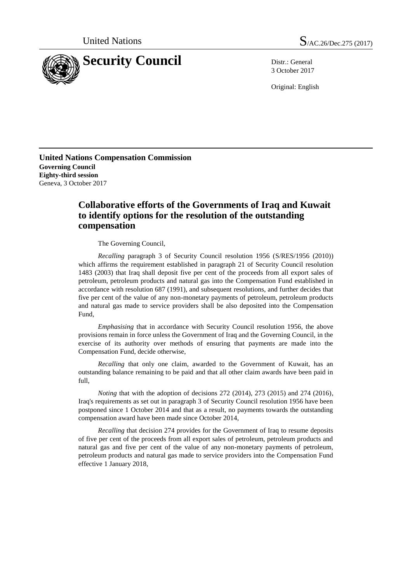

3 October 2017

Original: English

**United Nations Compensation Commission Governing Council Eighty-third session** Geneva, 3 October 2017

## **Collaborative efforts of the Governments of Iraq and Kuwait to identify options for the resolution of the outstanding compensation**

The Governing Council,

*Recalling* paragraph 3 of Security Council resolution 1956 (S/RES/1956 (2010)) which affirms the requirement established in paragraph 21 of Security Council resolution 1483 (2003) that Iraq shall deposit five per cent of the proceeds from all export sales of petroleum, petroleum products and natural gas into the Compensation Fund established in accordance with resolution 687 (1991), and subsequent resolutions, and further decides that five per cent of the value of any non-monetary payments of petroleum, petroleum products and natural gas made to service providers shall be also deposited into the Compensation Fund,

*Emphasising* that in accordance with Security Council resolution 1956, the above provisions remain in force unless the Government of Iraq and the Governing Council, in the exercise of its authority over methods of ensuring that payments are made into the Compensation Fund, decide otherwise,

*Recalling* that only one claim, awarded to the Government of Kuwait, has an outstanding balance remaining to be paid and that all other claim awards have been paid in full,

*Noting* that with the adoption of decisions 272 (2014), 273 (2015) and 274 (2016), Iraq's requirements as set out in paragraph 3 of Security Council resolution 1956 have been postponed since 1 October 2014 and that as a result, no payments towards the outstanding compensation award have been made since October 2014,

*Recalling* that decision 274 provides for the Government of Iraq to resume deposits of five per cent of the proceeds from all export sales of petroleum, petroleum products and natural gas and five per cent of the value of any non-monetary payments of petroleum, petroleum products and natural gas made to service providers into the Compensation Fund effective 1 January 2018,